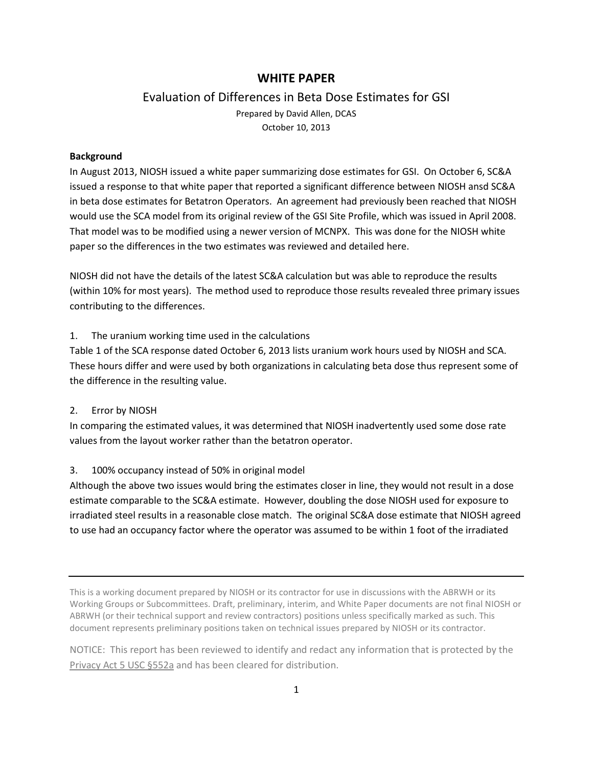# **WHITE PAPER**

## Evaluation of Differences in Beta Dose Estimates for GSI

Prepared by David Allen, DCAS October 10, 2013

#### **Background**

In August 2013, NIOSH issued a white paper summarizing dose estimates for GSI. On October 6, SC&A issued a response to that white paper that reported a significant difference between NIOSH ansd SC&A in beta dose estimates for Betatron Operators. An agreement had previously been reached that NIOSH would use the SCA model from its original review of the GSI Site Profile, which was issued in April 2008. That model was to be modified using a newer version of MCNPX. This was done for the NIOSH white paper so the differences in the two estimates was reviewed and detailed here.

NIOSH did not have the details of the latest SC&A calculation but was able to reproduce the results (within 10% for most years). The method used to reproduce those results revealed three primary issues contributing to the differences.

## 1. The uranium working time used in the calculations

Table 1 of the SCA response dated October 6, 2013 lists uranium work hours used by NIOSH and SCA. These hours differ and were used by both organizations in calculating beta dose thus represent some of the difference in the resulting value.

### 2. Error by NIOSH

In comparing the estimated values, it was determined that NIOSH inadvertently used some dose rate values from the layout worker rather than the betatron operator.

### 3. 100% occupancy instead of 50% in original model

Although the above two issues would bring the estimates closer in line, they would not result in a dose estimate comparable to the SC&A estimate. However, doubling the dose NIOSH used for exposure to irradiated steel results in a reasonable close match. The original SC&A dose estimate that NIOSH agreed to use had an occupancy factor where the operator was assumed to be within 1 foot of the irradiated

NOTICE: This report has been reviewed to identify and redact any information that is protected by the Privacy Act 5 USC §552a and has been cleared for distribution.

This is a working document prepared by NIOSH or its contractor for use in discussions with the ABRWH or its Working Groups or Subcommittees. Draft, preliminary, interim, and White Paper documents are not final NIOSH or ABRWH (or their technical support and review contractors) positions unless specifically marked as such. This document represents preliminary positions taken on technical issues prepared by NIOSH or its contractor.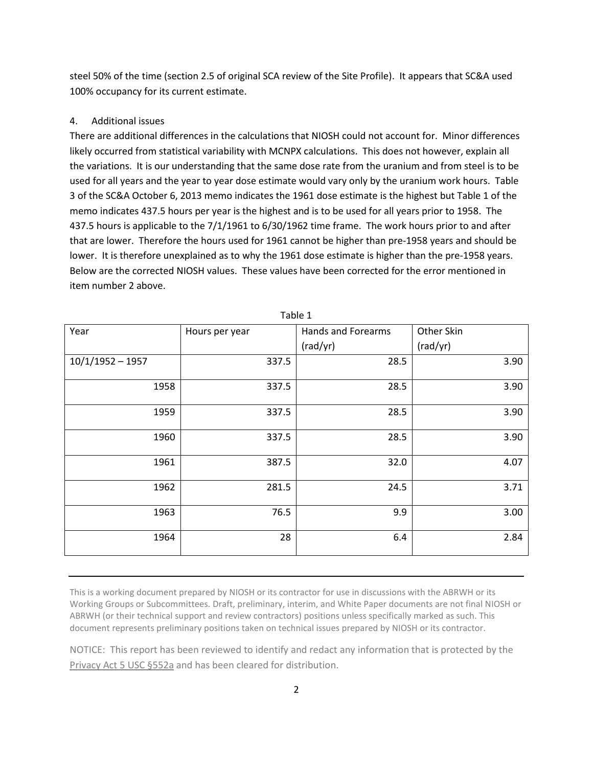steel 50% of the time (section 2.5 of original SCA review of the Site Profile). It appears that SC&A used 100% occupancy for its current estimate.

## 4. Additional issues

There are additional differences in the calculations that NIOSH could not account for. Minor differences likely occurred from statistical variability with MCNPX calculations. This does not however, explain all the variations. It is our understanding that the same dose rate from the uranium and from steel is to be used for all years and the year to year dose estimate would vary only by the uranium work hours. Table 3 of the SC&A October 6, 2013 memo indicates the 1961 dose estimate is the highest but Table 1 of the memo indicates 437.5 hours per year is the highest and is to be used for all years prior to 1958. The 437.5 hours is applicable to the 7/1/1961 to 6/30/1962 time frame. The work hours prior to and after that are lower. Therefore the hours used for 1961 cannot be higher than pre-1958 years and should be lower. It is therefore unexplained as to why the 1961 dose estimate is higher than the pre-1958 years. Below are the corrected NIOSH values. These values have been corrected for the error mentioned in item number 2 above.

| Year               | Hours per year | <b>Hands and Forearms</b> | Other Skin |
|--------------------|----------------|---------------------------|------------|
|                    |                | (rad/yr)                  | (rad/yr)   |
| $10/1/1952 - 1957$ | 337.5          | 28.5                      | 3.90       |
| 1958               | 337.5          | 28.5                      | 3.90       |
| 1959               | 337.5          | 28.5                      | 3.90       |
| 1960               | 337.5          | 28.5                      | 3.90       |
| 1961               | 387.5          | 32.0                      | 4.07       |
| 1962               | 281.5          | 24.5                      | 3.71       |
| 1963               | 76.5           | 9.9                       | 3.00       |
| 1964               | 28             | 6.4                       | 2.84       |

Table 1

This is a working document prepared by NIOSH or its contractor for use in discussions with the ABRWH or its Working Groups or Subcommittees. Draft, preliminary, interim, and White Paper documents are not final NIOSH or ABRWH (or their technical support and review contractors) positions unless specifically marked as such. This document represents preliminary positions taken on technical issues prepared by NIOSH or its contractor.

NOTICE: This report has been reviewed to identify and redact any information that is protected by the Privacy Act 5 USC §552a and has been cleared for distribution.